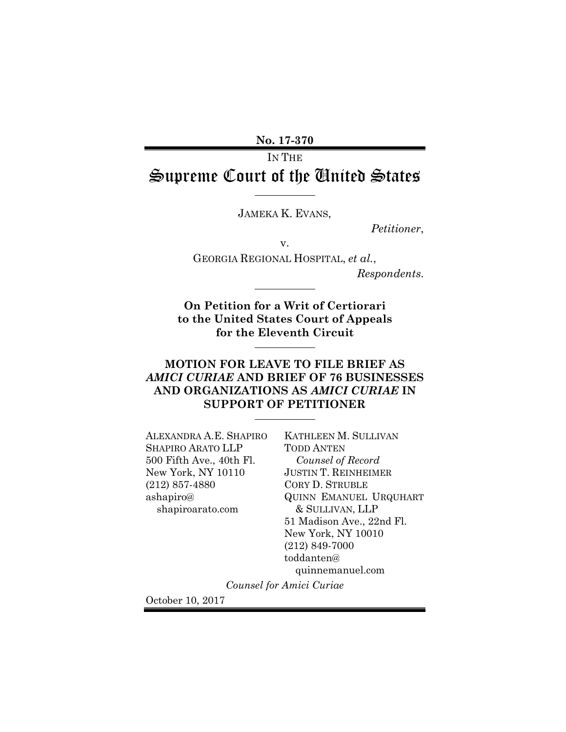No. 17-370

IN THE Supreme Court of the United States

JAMEKA K. EVANS,

Petitioner,

v.

GEORGIA REGIONAL HOSPITAL, et al., Respondents.

On Petition for a Writ of Certiorari to the United States Court of Appeals for the Eleventh Circuit

## MOTION FOR LEAVE TO FILE BRIEF AS AMICI CURIAE AND BRIEF OF 76 BUSINESSES AND ORGANIZATIONS AS AMICI CURIAE IN SUPPORT OF PETITIONER

ALEXANDRA A.E. SHAPIRO SHAPIRO ARATO LLP 500 Fifth Ave., 40th Fl. New York, NY 10110 (212) 857-4880 ashapiro@ shapiroarato.com

KATHLEEN M. SULLIVAN TODD ANTEN Counsel of Record JUSTIN T. REINHEIMER CORY D. STRUBLE QUINN EMANUEL URQUHART & SULLIVAN, LLP 51 Madison Ave., 22nd Fl. New York, NY 10010 (212) 849-7000 toddanten@ quinnemanuel.com

Counsel for Amici Curiae

October 10, 2017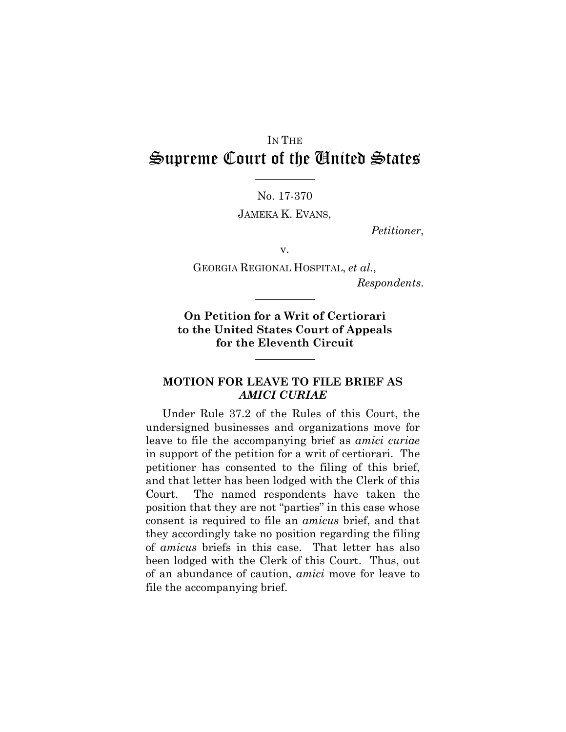# IN THE Supreme Court of the United States

No. 17-370

JAMEKA K. EVANS,

Petitioner,

v.

GEORGIA REGIONAL HOSPITAL, et al., Respondents.

On Petition for a Writ of Certiorari to the United States Court of Appeals for the Eleventh Circuit

### MOTION FOR LEAVE TO FILE BRIEF AS AMICI CURIAE

Under Rule 37.2 of the Rules of this Court, the undersigned businesses and organizations move for leave to file the accompanying brief as amici curiae in support of the petition for a writ of certiorari. The petitioner has consented to the filing of this brief, and that letter has been lodged with the Clerk of this Court. The named respondents have taken the position that they are not "parties" in this case whose consent is required to file an amicus brief, and that they accordingly take no position regarding the filing of amicus briefs in this case. That letter has also been lodged with the Clerk of this Court. Thus, out of an abundance of caution, amici move for leave to file the accompanying brief.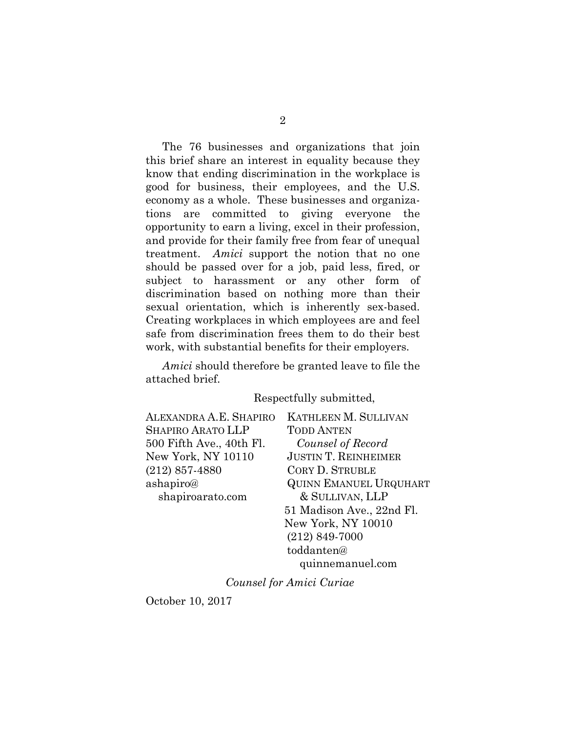The 76 businesses and organizations that join this brief share an interest in equality because they know that ending discrimination in the workplace is good for business, their employees, and the U.S. economy as a whole. These businesses and organizations are committed to giving everyone the opportunity to earn a living, excel in their profession, and provide for their family free from fear of unequal treatment. Amici support the notion that no one should be passed over for a job, paid less, fired, or subject to harassment or any other form of discrimination based on nothing more than their sexual orientation, which is inherently sex-based. Creating workplaces in which employees are and feel safe from discrimination frees them to do their best work, with substantial benefits for their employers.

Amici should therefore be granted leave to file the attached brief.

#### Respectfully submitted,

| ALEXANDRA A.E. SHAPIRO   | <b>KATHLEEN M. SULLIVAN</b>   |
|--------------------------|-------------------------------|
| SHAPIRO ARATO LLP        | <b>TODD ANTEN</b>             |
| 500 Fifth Ave., 40th Fl. | Counsel of Record             |
| New York, NY 10110       | <b>JUSTIN T. REINHEIMER</b>   |
| $(212) 857 - 4880$       | <b>CORY D. STRUBLE</b>        |
| ashapiro@                | <b>QUINN EMANUEL URQUHART</b> |
| shapiroarato.com         | & SULLIVAN, LLP               |
|                          | 51 Madison Ave., 22nd Fl.     |
|                          | New York, NY 10010            |
|                          | $(212) 849 - 7000$            |
|                          | toddanten@                    |

quinnemanuel.com

Counsel for Amici Curiae

October 10, 2017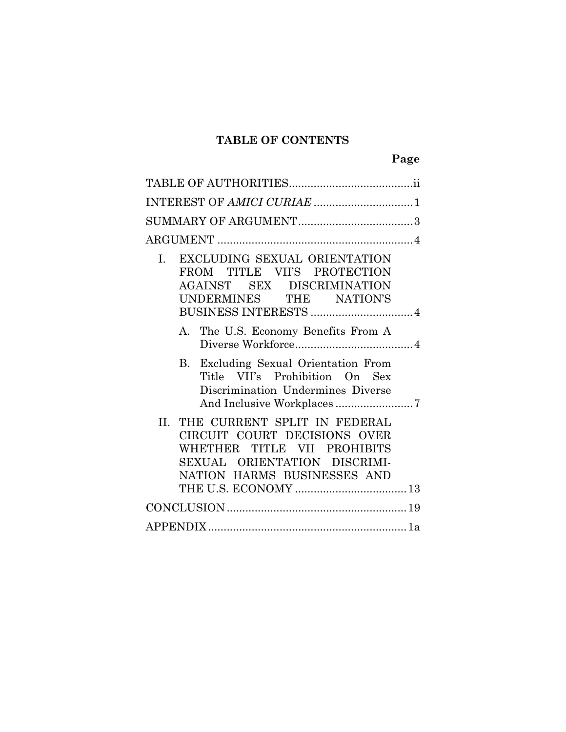## TABLE OF CONTENTS

| EXCLUDING SEXUAL ORIENTATION<br>I.<br>FROM TITLE VII'S PROTECTION<br>AGAINST SEX DISCRIMINATION<br>UNDERMINES THE NATION'S                                        |  |
|-------------------------------------------------------------------------------------------------------------------------------------------------------------------|--|
| A. The U.S. Economy Benefits From A                                                                                                                               |  |
| B. Excluding Sexual Orientation From<br>Title VII's Prohibition On Sex<br>Discrimination Undermines Diverse                                                       |  |
| THE CURRENT SPLIT IN FEDERAL<br>II.<br>CIRCUIT COURT DECISIONS OVER<br>WHETHER TITLE VII PROHIBITS<br>SEXUAL ORIENTATION DISCRIMI-<br>NATION HARMS BUSINESSES AND |  |
|                                                                                                                                                                   |  |
|                                                                                                                                                                   |  |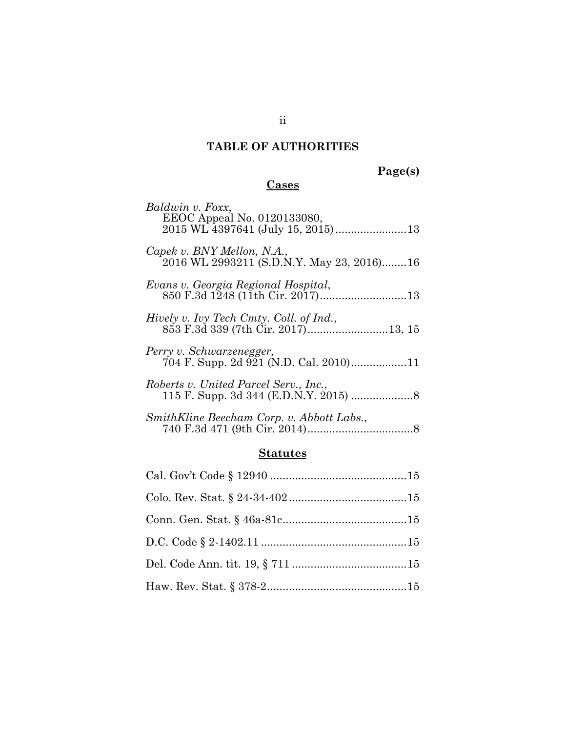# TABLE OF AUTHORITIES

## Page(s)

# **Cases**

| Baldwin v. Foxx,<br>EEOC Appeal No. 0120133080,                         |
|-------------------------------------------------------------------------|
| Capek v. BNY Mellon, N.A.,<br>2016 WL 2993211 (S.D.N.Y. May 23, 2016)16 |
| Evans v. Georgia Regional Hospital,                                     |
| Hively v. Ivy Tech Cmty. Coll. of Ind.,                                 |
| Perry v. Schwarzenegger,                                                |
| Roberts v. United Parcel Serv., Inc.,                                   |
| SmithKline Beecham Corp. v. Abbott Labs.,                               |

## **Statutes**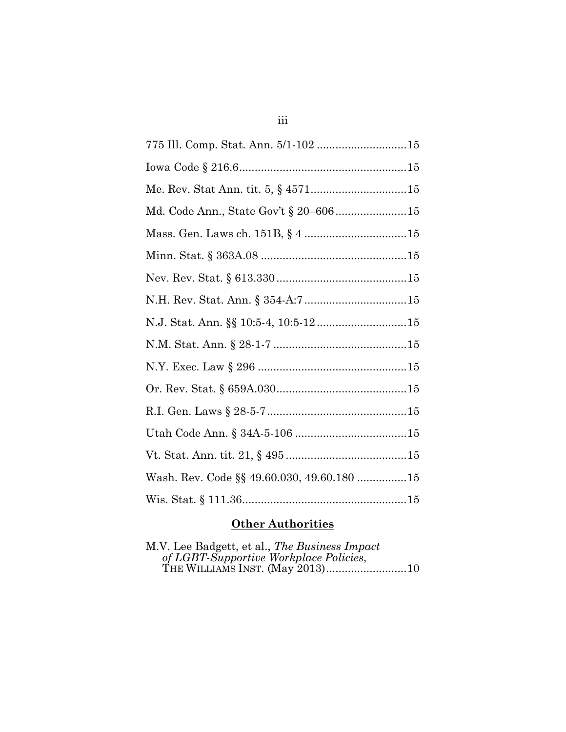| Md. Code Ann., State Gov't § 20-60615      |
|--------------------------------------------|
|                                            |
|                                            |
|                                            |
|                                            |
| N.J. Stat. Ann. §§ 10:5-4, 10:5-1215       |
|                                            |
|                                            |
|                                            |
|                                            |
|                                            |
|                                            |
| Wash. Rev. Code §§ 49.60.030, 49.60.180 15 |
|                                            |

## **Other Authorities**

| M.V. Lee Badgett, et al., The Business Impact |  |
|-----------------------------------------------|--|
| of LGBT-Supportive Workplace Policies,        |  |
|                                               |  |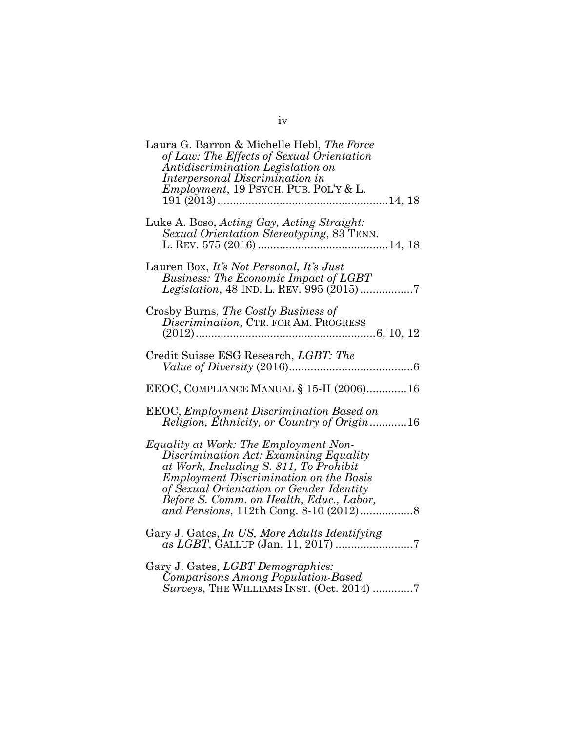| Laura G. Barron & Michelle Hebl, The Force<br>of Law: The Effects of Sexual Orientation<br>Antidiscrimination Legislation on<br>Interpersonal Discrimination in<br><i>Employment</i> , 19 PSYCH. PUB. POL'Y & L.                                                   |
|--------------------------------------------------------------------------------------------------------------------------------------------------------------------------------------------------------------------------------------------------------------------|
| Luke A. Boso, Acting Gay, Acting Straight:<br>Sexual Orientation Stereotyping, 83 TENN.                                                                                                                                                                            |
| Lauren Box, It's Not Personal, It's Just<br><b>Business: The Economic Impact of LGBT</b>                                                                                                                                                                           |
| Crosby Burns, The Costly Business of<br>Discrimination, CTR. FOR AM. PROGRESS                                                                                                                                                                                      |
| Credit Suisse ESG Research, LGBT: The                                                                                                                                                                                                                              |
| EEOC, COMPLIANCE MANUAL § 15-II (2006)16                                                                                                                                                                                                                           |
| <b>EEOC, Employment Discrimination Based on</b><br>Religion, Ethnicity, or Country of Origin16                                                                                                                                                                     |
| Equality at Work: The Employment Non-<br>Discrimination Act: Examining Equality<br>at Work, Including S. 811, To Prohibit<br><b>Employment Discrimination on the Basis</b><br>of Sexual Orientation or Gender Identity<br>Before S. Comm. on Health, Educ., Labor, |
| Gary J. Gates, In US, More Adults Identifying                                                                                                                                                                                                                      |
| Gary J. Gates, LGBT Demographics:<br>Comparisons Among Population-Based<br>Surveys, THE WILLIAMS INST. (Oct. 2014) 7                                                                                                                                               |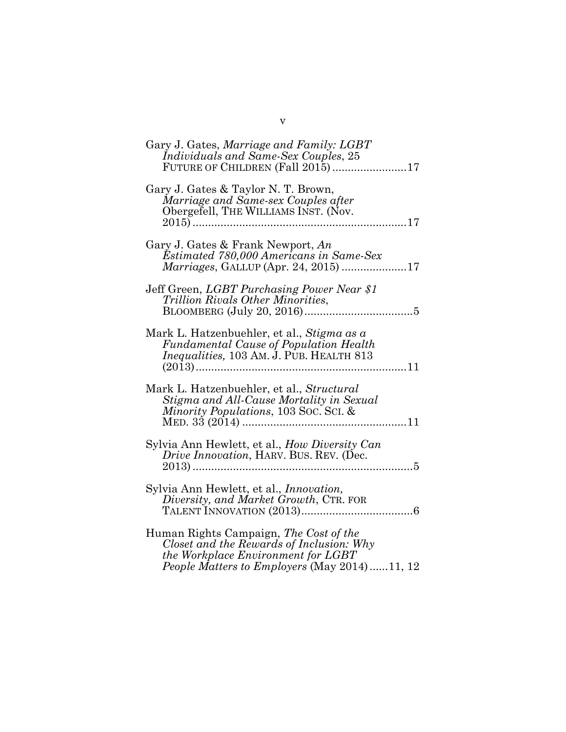| Gary J. Gates, Marriage and Family: LGBT<br>Individuals and Same-Sex Couples, 25<br>FUTURE OF CHILDREN (Fall 2015)17                                                     |
|--------------------------------------------------------------------------------------------------------------------------------------------------------------------------|
| Gary J. Gates & Taylor N. T. Brown,<br>Marriage and Same-sex Couples after<br>Obergefell, THE WILLIAMS INST. (Nov.                                                       |
| Gary J. Gates & Frank Newport, An<br>Estimated 780,000 Americans in Same-Sex<br>Marriages, GALLUP (Apr. 24, 2015) 17                                                     |
| Jeff Green, LGBT Purchasing Power Near \$1<br>Trillion Rivals Other Minorities,                                                                                          |
| Mark L. Hatzenbuehler, et al., Stigma as a<br><b>Fundamental Cause of Population Health</b><br><i>Inequalities</i> , 103 AM. J. PUB. HEALTH 813                          |
| Mark L. Hatzenbuehler, et al., Structural<br>Stigma and All-Cause Mortality in Sexual<br>Minority Populations, 103 Soc. Sci. &                                           |
| Sylvia Ann Hewlett, et al., How Diversity Can<br>Drive Innovation, HARV. BUS. REV. (Dec.                                                                                 |
| Sylvia Ann Hewlett, et al., <i>Innovation</i> ,<br>Diversity, and Market Growth, CTR. FOR                                                                                |
| Human Rights Campaign, The Cost of the<br>Closet and the Rewards of Inclusion: Why<br>the Workplace Environment for LGBT<br>People Matters to Employers (May 2014)11, 12 |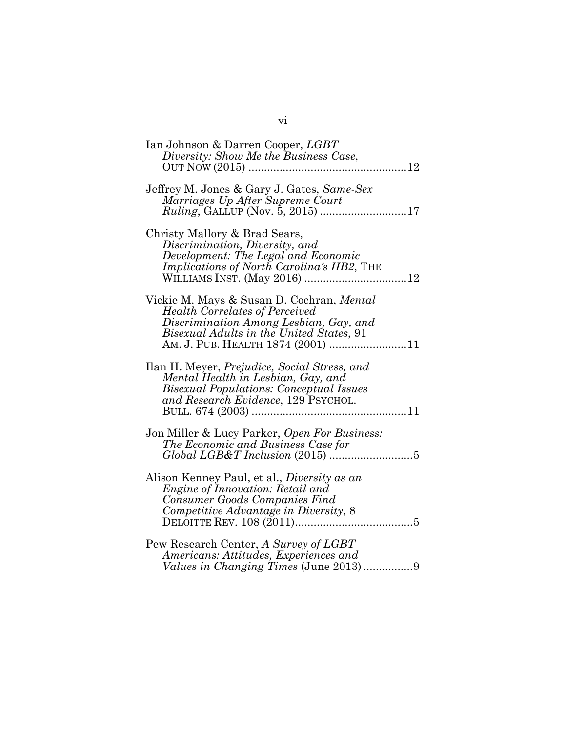| Ian Johnson & Darren Cooper, LGBT<br>Diversity: Show Me the Business Case,                                                                                                                                    |
|---------------------------------------------------------------------------------------------------------------------------------------------------------------------------------------------------------------|
| Jeffrey M. Jones & Gary J. Gates, Same-Sex<br>Marriages Up After Supreme Court<br><i>Ruling</i> , GALLUP (Nov. 5, 2015) 17                                                                                    |
| Christy Mallory & Brad Sears,<br>Discrimination, Diversity, and<br>Development: The Legal and Economic<br><i>Implications of North Carolina's HB2, THE</i>                                                    |
| Vickie M. Mays & Susan D. Cochran, Mental<br><b>Health Correlates of Perceived</b><br>Discrimination Among Lesbian, Gay, and<br>Bisexual Adults in the United States, 91<br>AM. J. PUB. HEALTH 1874 (2001) 11 |
| Ilan H. Meyer, <i>Prejudice, Social Stress, and</i><br>Mental Health in Lesbian, Gay, and<br><b>Bisexual Populations: Conceptual Issues</b><br>and Research Evidence, 129 PSYCHOL.                            |
| Jon Miller & Lucy Parker, Open For Business:<br>The Economic and Business Case for                                                                                                                            |
| Alison Kenney Paul, et al., <i>Diversity as an</i><br><i>Engine of Innovation: Retail and</i><br>Consumer Goods Companies Find<br>Competitive Advantage in Diversity, 8                                       |
| Pew Research Center, A Survey of LGBT<br>Americans: Attitudes, Experiences and                                                                                                                                |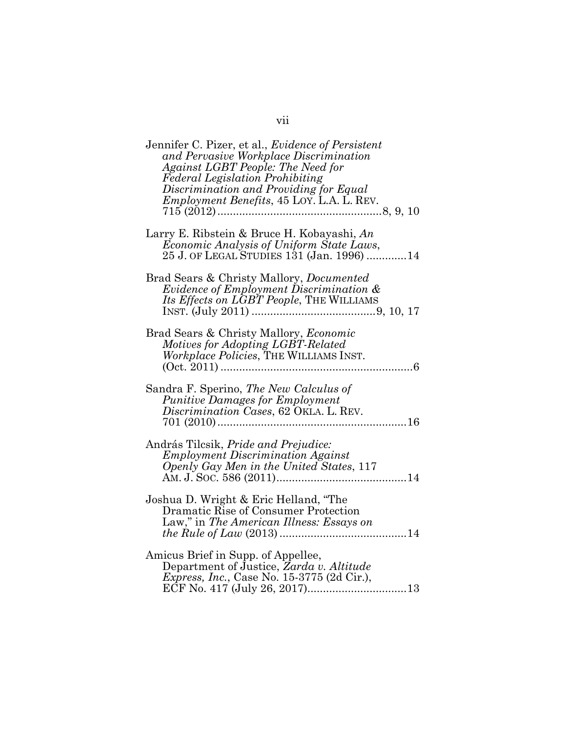| Jennifer C. Pizer, et al., <i>Evidence of Persistent</i><br>and Pervasive Workplace Discrimination<br>Against LGBT People: The Need for<br><b>Federal Legislation Prohibiting</b><br>Discrimination and Providing for Equal<br><i>Employment Benefits</i> , 45 LOY. L.A. L. REV. |
|----------------------------------------------------------------------------------------------------------------------------------------------------------------------------------------------------------------------------------------------------------------------------------|
| Larry E. Ribstein & Bruce H. Kobayashi, An<br>Economic Analysis of Uniform State Laws,<br>25 J. OF LEGAL STUDIES 131 (Jan. 1996) 14                                                                                                                                              |
| Brad Sears & Christy Mallory, Documented<br><i>Evidence of Employment Discrimination &amp;</i><br>Its Effects on LGBT People, THE WILLIAMS                                                                                                                                       |
| Brad Sears & Christy Mallory, Economic<br>Motives for Adopting LGBT-Related<br>Workplace Policies, THE WILLIAMS INST.<br>6                                                                                                                                                       |
| Sandra F. Sperino, <i>The New Calculus of</i><br><i>Punitive Damages for Employment</i><br>Discrimination Cases, 62 OKLA. L. REV.                                                                                                                                                |
| András Tilcsik, Pride and Prejudice:<br><b>Employment Discrimination Against</b><br>Openly Gay Men in the United States, 117                                                                                                                                                     |
| Joshua D. Wright & Eric Helland, "The<br>Dramatic Rise of Consumer Protection<br>Law," in The American Illness: Essays on                                                                                                                                                        |
| Amicus Brief in Supp. of Appellee,<br>Department of Justice, Zarda v. Altitude<br><i>Express, Inc., Case No. 15-3775 (2d Cir.),</i>                                                                                                                                              |

vii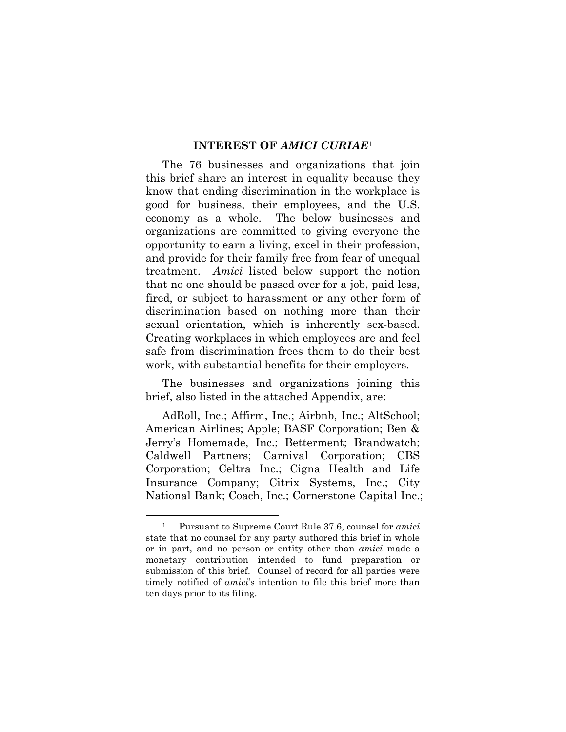#### INTEREST OF AMICI CURIAE<sup>1</sup>

The 76 businesses and organizations that join this brief share an interest in equality because they know that ending discrimination in the workplace is good for business, their employees, and the U.S. economy as a whole. The below businesses and organizations are committed to giving everyone the opportunity to earn a living, excel in their profession, and provide for their family free from fear of unequal treatment. Amici listed below support the notion that no one should be passed over for a job, paid less, fired, or subject to harassment or any other form of discrimination based on nothing more than their sexual orientation, which is inherently sex-based. Creating workplaces in which employees are and feel safe from discrimination frees them to do their best work, with substantial benefits for their employers.

The businesses and organizations joining this brief, also listed in the attached Appendix, are:

AdRoll, Inc.; Affirm, Inc.; Airbnb, Inc.; AltSchool; American Airlines; Apple; BASF Corporation; Ben & Jerry's Homemade, Inc.; Betterment; Brandwatch; Caldwell Partners; Carnival Corporation; CBS Corporation; Celtra Inc.; Cigna Health and Life Insurance Company; Citrix Systems, Inc.; City National Bank; Coach, Inc.; Cornerstone Capital Inc.;

Pursuant to Supreme Court Rule 37.6, counsel for *amici* state that no counsel for any party authored this brief in whole or in part, and no person or entity other than amici made a monetary contribution intended to fund preparation or submission of this brief. Counsel of record for all parties were timely notified of *amici*'s intention to file this brief more than ten days prior to its filing.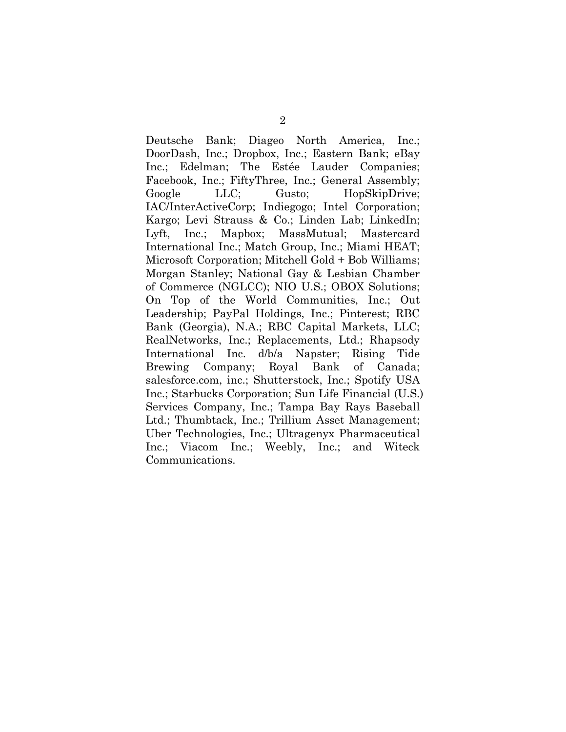Deutsche Bank; Diageo North America, Inc.; DoorDash, Inc.; Dropbox, Inc.; Eastern Bank; eBay Inc.; Edelman; The Estée Lauder Companies; Facebook, Inc.; FiftyThree, Inc.; General Assembly; Google LLC; Gusto; HopSkipDrive; IAC/InterActiveCorp; Indiegogo; Intel Corporation; Kargo; Levi Strauss & Co.; Linden Lab; LinkedIn; Lyft, Inc.; Mapbox; MassMutual; Mastercard International Inc.; Match Group, Inc.; Miami HEAT; Microsoft Corporation; Mitchell Gold + Bob Williams; Morgan Stanley; National Gay & Lesbian Chamber of Commerce (NGLCC); NIO U.S.; OBOX Solutions; On Top of the World Communities, Inc.; Out Leadership; PayPal Holdings, Inc.; Pinterest; RBC Bank (Georgia), N.A.; RBC Capital Markets, LLC; RealNetworks, Inc.; Replacements, Ltd.; Rhapsody International Inc. d/b/a Napster; Rising Tide Brewing Company; Royal Bank of Canada; salesforce.com, inc.; Shutterstock, Inc.; Spotify USA Inc.; Starbucks Corporation; Sun Life Financial (U.S.) Services Company, Inc.; Tampa Bay Rays Baseball Ltd.; Thumbtack, Inc.; Trillium Asset Management; Uber Technologies, Inc.; Ultragenyx Pharmaceutical Inc.; Viacom Inc.; Weebly, Inc.; and Witeck Communications.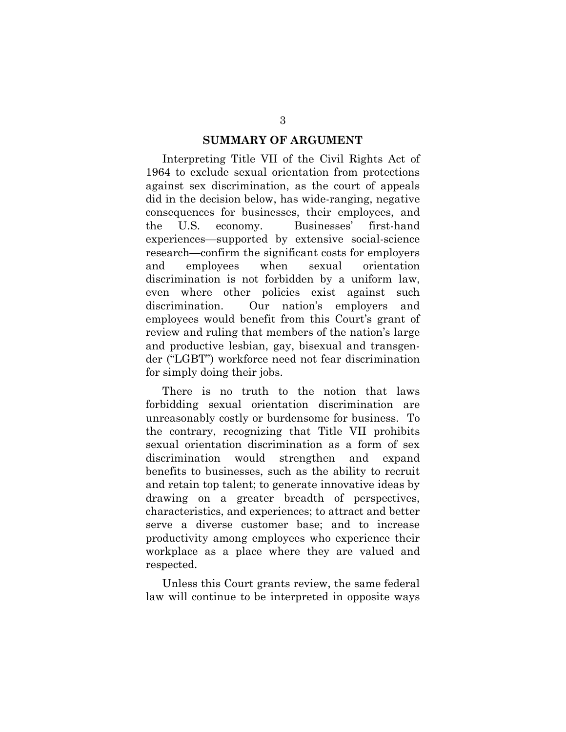#### SUMMARY OF ARGUMENT

Interpreting Title VII of the Civil Rights Act of 1964 to exclude sexual orientation from protections against sex discrimination, as the court of appeals did in the decision below, has wide-ranging, negative consequences for businesses, their employees, and the U.S. economy. Businesses' first-hand experiences—supported by extensive social-science research—confirm the significant costs for employers and employees when sexual orientation discrimination is not forbidden by a uniform law, even where other policies exist against such discrimination. Our nation's employers and employees would benefit from this Court's grant of review and ruling that members of the nation's large and productive lesbian, gay, bisexual and transgender ("LGBT") workforce need not fear discrimination for simply doing their jobs.

There is no truth to the notion that laws forbidding sexual orientation discrimination are unreasonably costly or burdensome for business. To the contrary, recognizing that Title VII prohibits sexual orientation discrimination as a form of sex discrimination would strengthen and expand benefits to businesses, such as the ability to recruit and retain top talent; to generate innovative ideas by drawing on a greater breadth of perspectives, characteristics, and experiences; to attract and better serve a diverse customer base; and to increase productivity among employees who experience their workplace as a place where they are valued and respected.

Unless this Court grants review, the same federal law will continue to be interpreted in opposite ways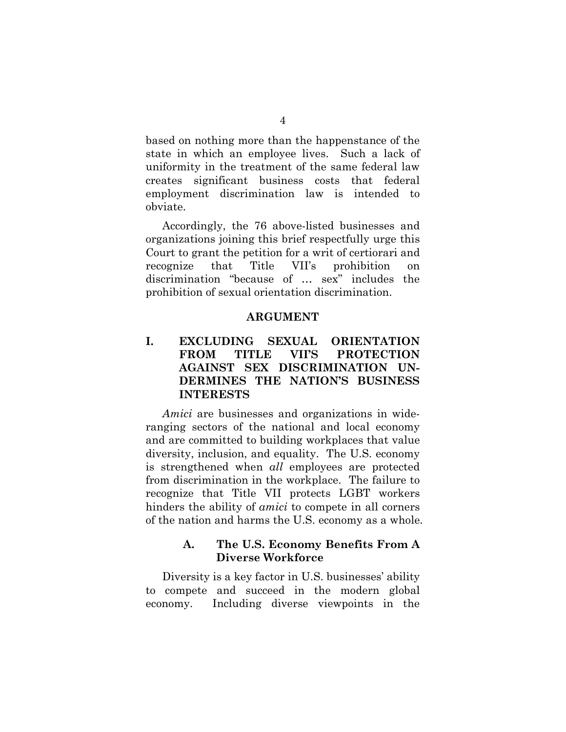based on nothing more than the happenstance of the state in which an employee lives. Such a lack of uniformity in the treatment of the same federal law creates significant business costs that federal employment discrimination law is intended to obviate.

Accordingly, the 76 above-listed businesses and organizations joining this brief respectfully urge this Court to grant the petition for a writ of certiorari and recognize that Title VII's prohibition on discrimination "because of … sex" includes the prohibition of sexual orientation discrimination.

#### ARGUMENT

## I. EXCLUDING SEXUAL ORIENTATION FROM TITLE VII'S PROTECTION AGAINST SEX DISCRIMINATION UN-DERMINES THE NATION'S BUSINESS INTERESTS

Amici are businesses and organizations in wideranging sectors of the national and local economy and are committed to building workplaces that value diversity, inclusion, and equality. The U.S. economy is strengthened when *all* employees are protected from discrimination in the workplace. The failure to recognize that Title VII protects LGBT workers hinders the ability of *amici* to compete in all corners of the nation and harms the U.S. economy as a whole.

### A. The U.S. Economy Benefits From A Diverse Workforce

Diversity is a key factor in U.S. businesses' ability to compete and succeed in the modern global economy. Including diverse viewpoints in the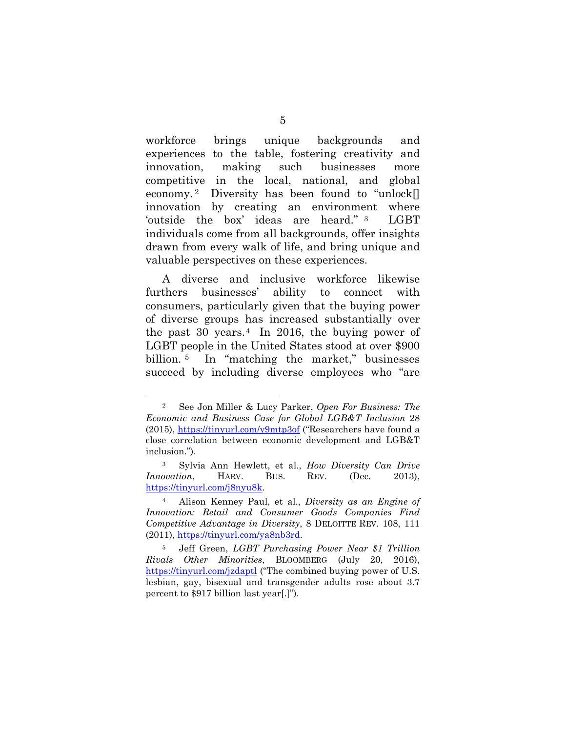workforce brings unique backgrounds and experiences to the table, fostering creativity and innovation, making such businesses more competitive in the local, national, and global economy. <sup>2</sup> Diversity has been found to "unlock[] innovation by creating an environment where 'outside the box' ideas are heard." <sup>3</sup> LGBT individuals come from all backgrounds, offer insights drawn from every walk of life, and bring unique and valuable perspectives on these experiences.

A diverse and inclusive workforce likewise furthers businesses' ability to connect with consumers, particularly given that the buying power of diverse groups has increased substantially over the past 30 years.<sup>4</sup> In 2016, the buying power of LGBT people in the United States stood at over \$900 billion. <sup>5</sup> In "matching the market," businesses succeed by including diverse employees who "are

<sup>2</sup> See Jon Miller & Lucy Parker, Open For Business: The Economic and Business Case for Global LGB&T Inclusion 28 (2015), https://tinyurl.com/y9mtp3of ("Researchers have found a close correlation between economic development and LGB&T inclusion.").

<sup>3</sup> Sylvia Ann Hewlett, et al., How Diversity Can Drive Innovation, HARV. BUS. REV. (Dec. 2013), https://tinyurl.com/j8nyu8k.

<sup>4</sup> Alison Kenney Paul, et al., Diversity as an Engine of Innovation: Retail and Consumer Goods Companies Find Competitive Advantage in Diversity, 8 DELOITTE REV. 108, 111 (2011), https://tinyurl.com/ya8nb3rd.

<sup>5</sup> Jeff Green, LGBT Purchasing Power Near \$1 Trillion Rivals Other Minorities, BLOOMBERG (July 20, 2016), https://tinyurl.com/jzdaptl ("The combined buying power of U.S. lesbian, gay, bisexual and transgender adults rose about 3.7 percent to \$917 billion last year[.]").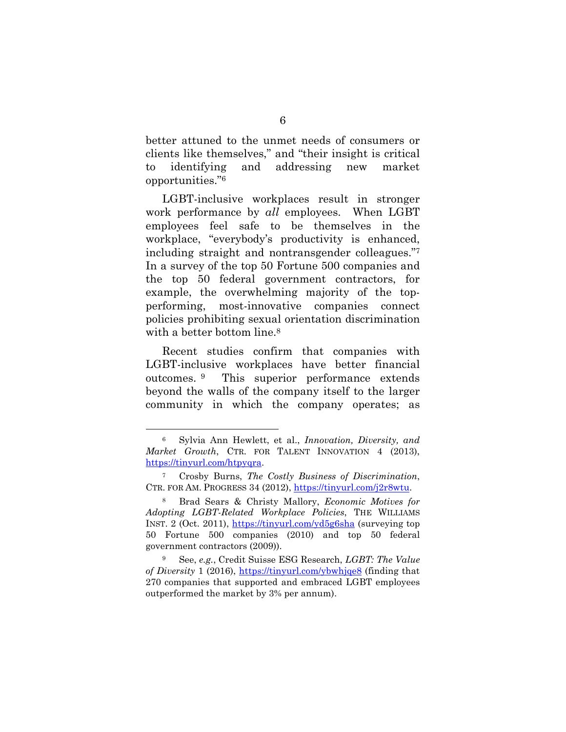better attuned to the unmet needs of consumers or clients like themselves," and "their insight is critical to identifying and addressing new market opportunities."<sup>6</sup>

LGBT-inclusive workplaces result in stronger work performance by all employees. When LGBT employees feel safe to be themselves in the workplace, "everybody's productivity is enhanced, including straight and nontransgender colleagues."<sup>7</sup> In a survey of the top 50 Fortune 500 companies and the top 50 federal government contractors, for example, the overwhelming majority of the topperforming, most-innovative companies connect policies prohibiting sexual orientation discrimination with a better bottom line.<sup>8</sup>

Recent studies confirm that companies with LGBT-inclusive workplaces have better financial outcomes. <sup>9</sup> This superior performance extends beyond the walls of the company itself to the larger community in which the company operates; as

Sylvia Ann Hewlett, et al., *Innovation*, *Diversity*, and Market Growth, CTR. FOR TALENT INNOVATION 4 (2013), https://tinyurl.com/htpyqra.

Crosby Burns, The Costly Business of Discrimination, CTR. FOR AM. PROGRESS 34 (2012), https://tinyurl.com/j2r8wtu.

<sup>8</sup> Brad Sears & Christy Mallory, Economic Motives for Adopting LGBT-Related Workplace Policies, THE WILLIAMS INST. 2 (Oct. 2011), https://tinyurl.com/yd5g6sha (surveying top 50 Fortune 500 companies (2010) and top 50 federal government contractors (2009)).

<sup>9</sup> See, e.g., Credit Suisse ESG Research, LGBT: The Value of Diversity 1 (2016), https://tinyurl.com/ybwhjqe8 (finding that 270 companies that supported and embraced LGBT employees outperformed the market by 3% per annum).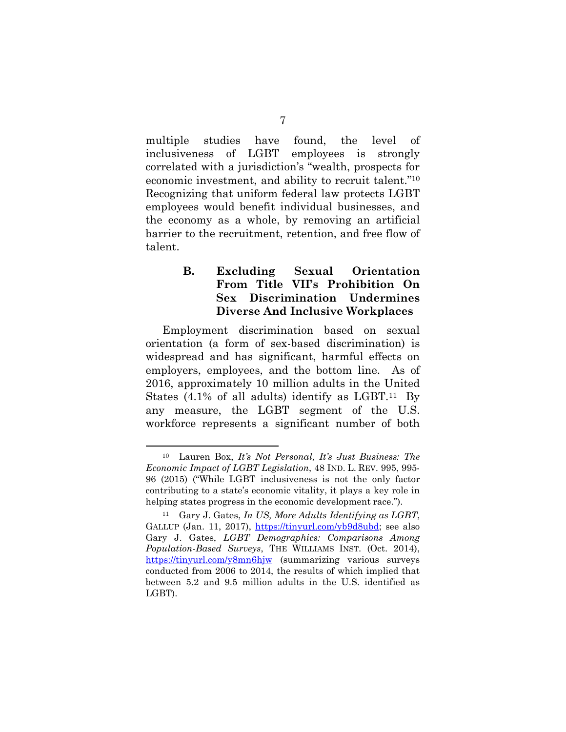multiple studies have found, the level of inclusiveness of LGBT employees is strongly correlated with a jurisdiction's "wealth, prospects for economic investment, and ability to recruit talent." <sup>10</sup> Recognizing that uniform federal law protects LGBT employees would benefit individual businesses, and the economy as a whole, by removing an artificial barrier to the recruitment, retention, and free flow of talent.

## B. Excluding Sexual Orientation From Title VII's Prohibition On Sex Discrimination Undermines Diverse And Inclusive Workplaces

Employment discrimination based on sexual orientation (a form of sex-based discrimination) is widespread and has significant, harmful effects on employers, employees, and the bottom line. As of 2016, approximately 10 million adults in the United States  $(4.1\%$  of all adults) identify as LGBT.<sup>11</sup> By any measure, the LGBT segment of the U.S. workforce represents a significant number of both

<sup>10</sup> Lauren Box, It's Not Personal, It's Just Business: The Economic Impact of LGBT Legislation, 48 IND. L. REV. 995, 995- 96 (2015) ("While LGBT inclusiveness is not the only factor contributing to a state's economic vitality, it plays a key role in helping states progress in the economic development race.").

 $11$  Gary J. Gates, In US, More Adults Identifying as LGBT, GALLUP (Jan. 11, 2017), https://tinyurl.com/yb9d8ubd; see also Gary J. Gates, LGBT Demographics: Comparisons Among Population-Based Surveys, THE WILLIAMS INST. (Oct. 2014), https://tinyurl.com/y8mn6hjw (summarizing various surveys conducted from 2006 to 2014, the results of which implied that between 5.2 and 9.5 million adults in the U.S. identified as LGBT).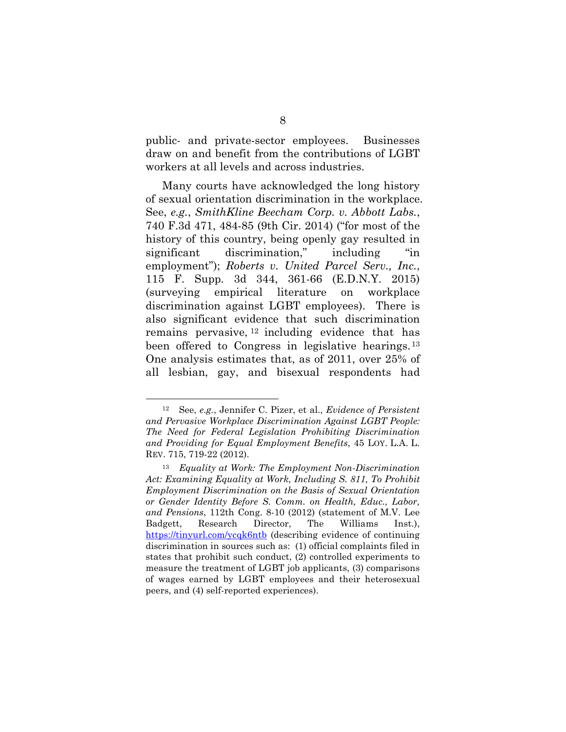public- and private-sector employees. Businesses draw on and benefit from the contributions of LGBT workers at all levels and across industries.

Many courts have acknowledged the long history of sexual orientation discrimination in the workplace. See, e.g., SmithKline Beecham Corp. v. Abbott Labs., 740 F.3d 471, 484-85 (9th Cir. 2014) ("for most of the history of this country, being openly gay resulted in significant discrimination," including "in employment"); Roberts v. United Parcel Serv., Inc., 115 F. Supp. 3d 344, 361-66 (E.D.N.Y. 2015) (surveying empirical literature on workplace discrimination against LGBT employees). There is also significant evidence that such discrimination remains pervasive, <sup>12</sup> including evidence that has been offered to Congress in legislative hearings.<sup>13</sup> One analysis estimates that, as of 2011, over 25% of all lesbian, gay, and bisexual respondents had

 $12$  See, e.g., Jennifer C. Pizer, et al., Evidence of Persistent and Pervasive Workplace Discrimination Against LGBT People: The Need for Federal Legislation Prohibiting Discrimination and Providing for Equal Employment Benefits, 45 LOY. L.A. L. REV. 715, 719-22 (2012).

<sup>13</sup> Equality at Work: The Employment Non-Discrimination Act: Examining Equality at Work, Including S. 811, To Prohibit Employment Discrimination on the Basis of Sexual Orientation or Gender Identity Before S. Comm. on Health, Educ., Labor, and Pensions, 112th Cong. 8-10 (2012) (statement of M.V. Lee Badgett, Research Director, The Williams Inst.), https://tinyurl.com/ycqk6ntb (describing evidence of continuing discrimination in sources such as: (1) official complaints filed in states that prohibit such conduct, (2) controlled experiments to measure the treatment of LGBT job applicants, (3) comparisons of wages earned by LGBT employees and their heterosexual peers, and (4) self-reported experiences).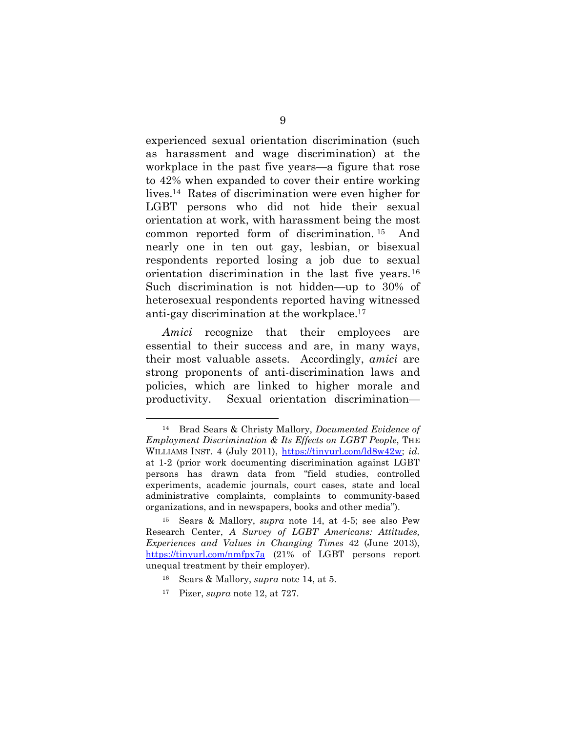experienced sexual orientation discrimination (such as harassment and wage discrimination) at the workplace in the past five years—a figure that rose to 42% when expanded to cover their entire working lives.14 Rates of discrimination were even higher for LGBT persons who did not hide their sexual orientation at work, with harassment being the most common reported form of discrimination. <sup>15</sup> And nearly one in ten out gay, lesbian, or bisexual respondents reported losing a job due to sexual orientation discrimination in the last five years.<sup>16</sup> Such discrimination is not hidden—up to 30% of heterosexual respondents reported having witnessed anti-gay discrimination at the workplace.<sup>17</sup>

Amici recognize that their employees are essential to their success and are, in many ways, their most valuable assets. Accordingly, amici are strong proponents of anti-discrimination laws and policies, which are linked to higher morale and productivity. Sexual orientation discrimination—

<sup>14</sup> Brad Sears & Christy Mallory, Documented Evidence of Employment Discrimination & Its Effects on LGBT People, THE WILLIAMS INST. 4 (July 2011), https://tinyurl.com/ld8w42w; id. at 1-2 (prior work documenting discrimination against LGBT persons has drawn data from "field studies, controlled experiments, academic journals, court cases, state and local administrative complaints, complaints to community-based organizations, and in newspapers, books and other media").

<sup>15</sup> Sears & Mallory, supra note 14, at 4-5; see also Pew Research Center, A Survey of LGBT Americans: Attitudes, Experiences and Values in Changing Times 42 (June 2013), https://tinyurl.com/nmfpx7a (21% of LGBT persons report unequal treatment by their employer).

<sup>16</sup> Sears & Mallory, supra note 14, at 5.

 $17$  Pizer, supra note 12, at 727.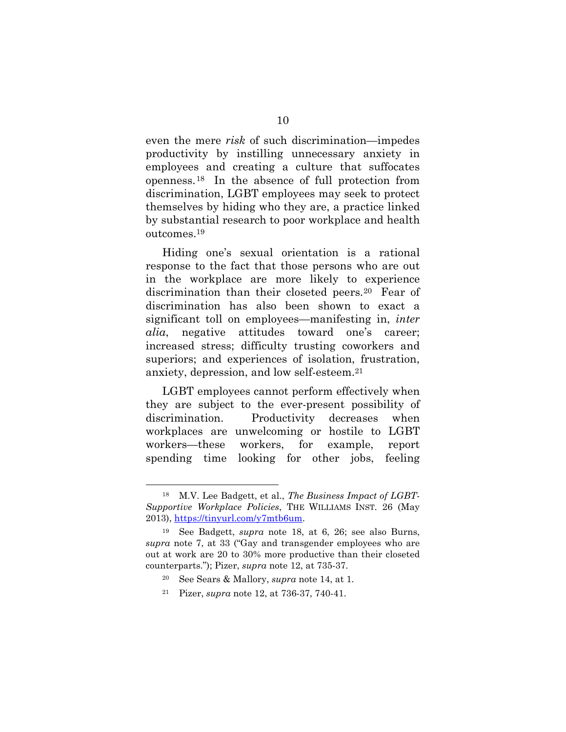even the mere risk of such discrimination—impedes productivity by instilling unnecessary anxiety in employees and creating a culture that suffocates openness.18 In the absence of full protection from discrimination, LGBT employees may seek to protect themselves by hiding who they are, a practice linked by substantial research to poor workplace and health outcomes.<sup>19</sup>

Hiding one's sexual orientation is a rational response to the fact that those persons who are out in the workplace are more likely to experience discrimination than their closeted peers.20 Fear of discrimination has also been shown to exact a significant toll on employees—manifesting in, inter alia, negative attitudes toward one's career; increased stress; difficulty trusting coworkers and superiors; and experiences of isolation, frustration, anxiety, depression, and low self-esteem.<sup>21</sup>

LGBT employees cannot perform effectively when they are subject to the ever-present possibility of discrimination. Productivity decreases when workplaces are unwelcoming or hostile to LGBT workers—these workers, for example, report spending time looking for other jobs, feeling

<sup>18</sup> M.V. Lee Badgett, et al., The Business Impact of LGBT-Supportive Workplace Policies, THE WILLIAMS INST. 26 (May 2013), https://tinyurl.com/y7mtb6um.

See Badgett, *supra* note 18, at 6, 26; see also Burns, supra note 7, at 33 ("Gay and transgender employees who are out at work are 20 to 30% more productive than their closeted counterparts."); Pizer, supra note 12, at 735-37.

<sup>20</sup> See Sears & Mallory, supra note 14, at 1.

<sup>21</sup> Pizer, supra note 12, at 736-37, 740-41.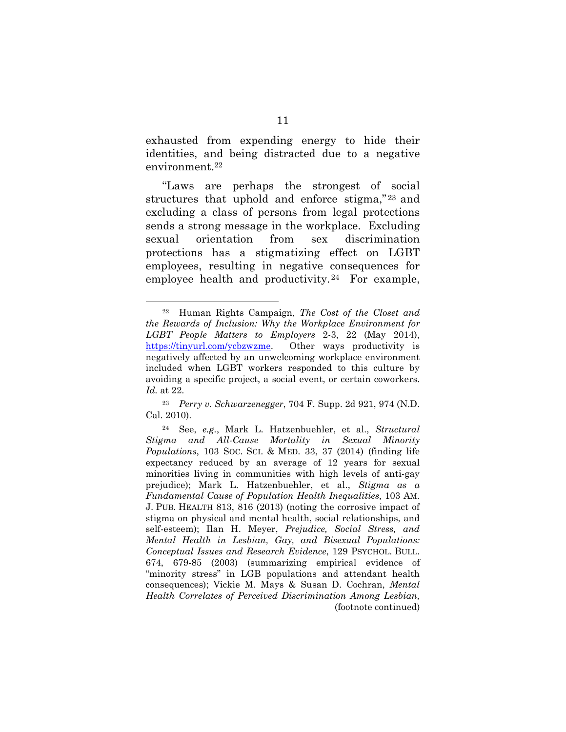exhausted from expending energy to hide their identities, and being distracted due to a negative environment.<sup>22</sup>

"Laws are perhaps the strongest of social structures that uphold and enforce stigma,"<sup>23</sup> and excluding a class of persons from legal protections sends a strong message in the workplace. Excluding sexual orientation from sex discrimination protections has a stigmatizing effect on LGBT employees, resulting in negative consequences for employee health and productivity. <sup>24</sup> For example,

<sup>22</sup> Human Rights Campaign, The Cost of the Closet and the Rewards of Inclusion: Why the Workplace Environment for LGBT People Matters to Employers 2-3, 22 (May 2014), https://tinyurl.com/ycbzwzme. Other ways productivity is negatively affected by an unwelcoming workplace environment included when LGBT workers responded to this culture by avoiding a specific project, a social event, or certain coworkers. Id. at 22.

<sup>23</sup> Perry v. Schwarzenegger, 704 F. Supp. 2d 921, 974 (N.D. Cal. 2010).

<sup>24</sup> See, e.g., Mark L. Hatzenbuehler, et al., Structural Stigma and All-Cause Mortality in Sexual Minority Populations, 103 SOC. SCI. & MED. 33, 37 (2014) (finding life expectancy reduced by an average of 12 years for sexual minorities living in communities with high levels of anti-gay prejudice); Mark L. Hatzenbuehler, et al., Stigma as a Fundamental Cause of Population Health Inequalities, 103 AM. J. PUB. HEALTH 813, 816 (2013) (noting the corrosive impact of stigma on physical and mental health, social relationships, and self-esteem); Ilan H. Meyer, Prejudice, Social Stress, and Mental Health in Lesbian, Gay, and Bisexual Populations: Conceptual Issues and Research Evidence, 129 PSYCHOL. BULL. 674, 679-85 (2003) (summarizing empirical evidence of "minority stress" in LGB populations and attendant health consequences); Vickie M. Mays & Susan D. Cochran, Mental Health Correlates of Perceived Discrimination Among Lesbian, (footnote continued)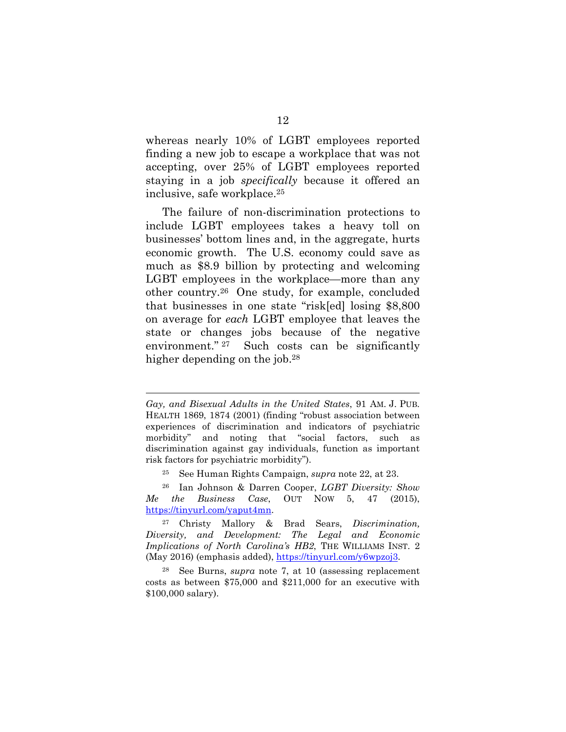whereas nearly 10% of LGBT employees reported finding a new job to escape a workplace that was not accepting, over 25% of LGBT employees reported staying in a job *specifically* because it offered an inclusive, safe workplace.<sup>25</sup>

The failure of non-discrimination protections to include LGBT employees takes a heavy toll on businesses' bottom lines and, in the aggregate, hurts economic growth. The U.S. economy could save as much as \$8.9 billion by protecting and welcoming LGBT employees in the workplace—more than any other country.26 One study, for example, concluded that businesses in one state "risk[ed] losing \$8,800 on average for each LGBT employee that leaves the state or changes jobs because of the negative environment." <sup>27</sup> Such costs can be significantly higher depending on the job.<sup>28</sup>

Gay, and Bisexual Adults in the United States, 91 AM. J. PUB. HEALTH 1869, 1874 (2001) (finding "robust association between experiences of discrimination and indicators of psychiatric morbidity" and noting that "social factors, such as discrimination against gay individuals, function as important risk factors for psychiatric morbidity").

 $25$  See Human Rights Campaign, supra note 22, at 23.

<sup>&</sup>lt;sup>26</sup> Ian Johnson & Darren Cooper, LGBT Diversity: Show Me the Business Case, OUT NOW 5, 47 (2015), https://tinyurl.com/yaput4mn.

<sup>27</sup> Christy Mallory & Brad Sears, Discrimination, Diversity, and Development: The Legal and Economic Implications of North Carolina's HB2, THE WILLIAMS INST. 2 (May 2016) (emphasis added), https://tinyurl.com/y6wpzoj3.

<sup>28</sup> See Burns, supra note 7, at 10 (assessing replacement costs as between \$75,000 and \$211,000 for an executive with \$100,000 salary).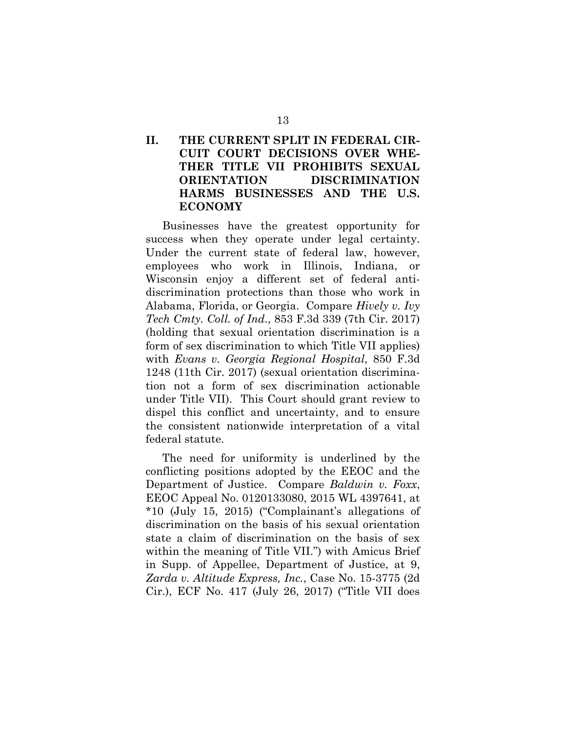## II. THE CURRENT SPLIT IN FEDERAL CIR-CUIT COURT DECISIONS OVER WHE-THER TITLE VII PROHIBITS SEXUAL ORIENTATION DISCRIMINATION HARMS BUSINESSES AND THE U.S. ECONOMY

Businesses have the greatest opportunity for success when they operate under legal certainty. Under the current state of federal law, however, employees who work in Illinois, Indiana, or Wisconsin enjoy a different set of federal antidiscrimination protections than those who work in Alabama, Florida, or Georgia. Compare Hively v. Ivy Tech Cmty. Coll. of Ind., 853 F.3d 339 (7th Cir. 2017) (holding that sexual orientation discrimination is a form of sex discrimination to which Title VII applies) with Evans v. Georgia Regional Hospital, 850 F.3d 1248 (11th Cir. 2017) (sexual orientation discrimination not a form of sex discrimination actionable under Title VII). This Court should grant review to dispel this conflict and uncertainty, and to ensure the consistent nationwide interpretation of a vital federal statute.

The need for uniformity is underlined by the conflicting positions adopted by the EEOC and the Department of Justice. Compare Baldwin v. Foxx, EEOC Appeal No. 0120133080, 2015 WL 4397641, at \*10 (July 15, 2015) ("Complainant's allegations of discrimination on the basis of his sexual orientation state a claim of discrimination on the basis of sex within the meaning of Title VII.") with Amicus Brief in Supp. of Appellee, Department of Justice, at 9, Zarda v. Altitude Express, Inc., Case No. 15-3775 (2d Cir.), ECF No. 417 (July 26, 2017) ("Title VII does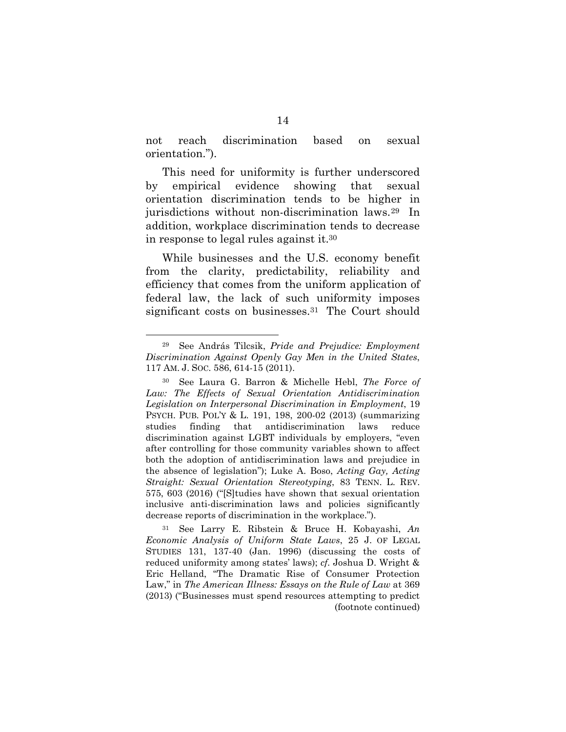not reach discrimination based on sexual orientation.").

This need for uniformity is further underscored by empirical evidence showing that sexual orientation discrimination tends to be higher in jurisdictions without non-discrimination laws.29 In addition, workplace discrimination tends to decrease in response to legal rules against it.<sup>30</sup>

While businesses and the U.S. economy benefit from the clarity, predictability, reliability and efficiency that comes from the uniform application of federal law, the lack of such uniformity imposes significant costs on businesses.<sup>31</sup> The Court should

<sup>29</sup> See András Tilcsik, Pride and Prejudice: Employment Discrimination Against Openly Gay Men in the United States, 117 AM. J. SOC. 586, 614-15 (2011).

<sup>30</sup> See Laura G. Barron & Michelle Hebl, The Force of Law: The Effects of Sexual Orientation Antidiscrimination Legislation on Interpersonal Discrimination in Employment, 19 PSYCH. PUB. POL'Y & L. 191, 198, 200-02 (2013) (summarizing studies finding that antidiscrimination laws reduce discrimination against LGBT individuals by employers, "even after controlling for those community variables shown to affect both the adoption of antidiscrimination laws and prejudice in the absence of legislation"); Luke A. Boso, Acting Gay, Acting Straight: Sexual Orientation Stereotyping, 83 TENN. L. REV. 575, 603 (2016) ("[S]tudies have shown that sexual orientation inclusive anti-discrimination laws and policies significantly decrease reports of discrimination in the workplace.").

 $31$  See Larry E. Ribstein & Bruce H. Kobayashi, An Economic Analysis of Uniform State Laws, 25 J. OF LEGAL STUDIES 131, 137-40 (Jan. 1996) (discussing the costs of reduced uniformity among states' laws); cf. Joshua D. Wright & Eric Helland, "The Dramatic Rise of Consumer Protection Law," in The American Illness: Essays on the Rule of Law at 369 (2013) ("Businesses must spend resources attempting to predict (footnote continued)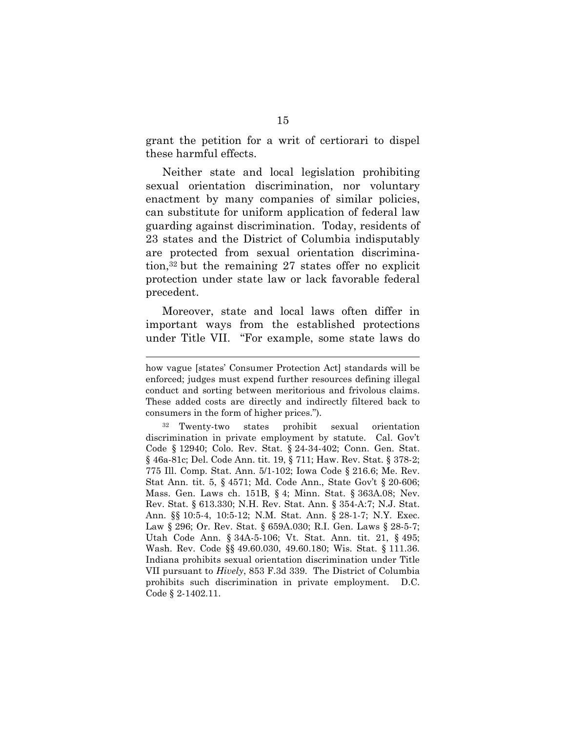grant the petition for a writ of certiorari to dispel these harmful effects.

Neither state and local legislation prohibiting sexual orientation discrimination, nor voluntary enactment by many companies of similar policies, can substitute for uniform application of federal law guarding against discrimination. Today, residents of 23 states and the District of Columbia indisputably are protected from sexual orientation discrimination,32 but the remaining 27 states offer no explicit protection under state law or lack favorable federal precedent.

Moreover, state and local laws often differ in important ways from the established protections under Title VII. "For example, some state laws do

how vague [states' Consumer Protection Act] standards will be enforced; judges must expend further resources defining illegal conduct and sorting between meritorious and frivolous claims. These added costs are directly and indirectly filtered back to consumers in the form of higher prices.").

<sup>32</sup> Twenty-two states prohibit sexual orientation discrimination in private employment by statute. Cal. Gov't Code § 12940; Colo. Rev. Stat. § 24-34-402; Conn. Gen. Stat. § 46a-81c; Del. Code Ann. tit. 19, § 711; Haw. Rev. Stat. § 378-2; 775 Ill. Comp. Stat. Ann. 5/1-102; Iowa Code § 216.6; Me. Rev. Stat Ann. tit. 5, § 4571; Md. Code Ann., State Gov't § 20-606; Mass. Gen. Laws ch. 151B, § 4; Minn. Stat. § 363A.08; Nev. Rev. Stat. § 613.330; N.H. Rev. Stat. Ann. § 354-A:7; N.J. Stat. Ann. §§ 10:5-4, 10:5-12; N.M. Stat. Ann. § 28-1-7; N.Y. Exec. Law § 296; Or. Rev. Stat. § 659A.030; R.I. Gen. Laws § 28-5-7; Utah Code Ann. § 34A-5-106; Vt. Stat. Ann. tit. 21, § 495; Wash. Rev. Code §§ 49.60.030, 49.60.180; Wis. Stat. § 111.36. Indiana prohibits sexual orientation discrimination under Title VII pursuant to Hively, 853 F.3d 339. The District of Columbia prohibits such discrimination in private employment. D.C. Code § 2-1402.11.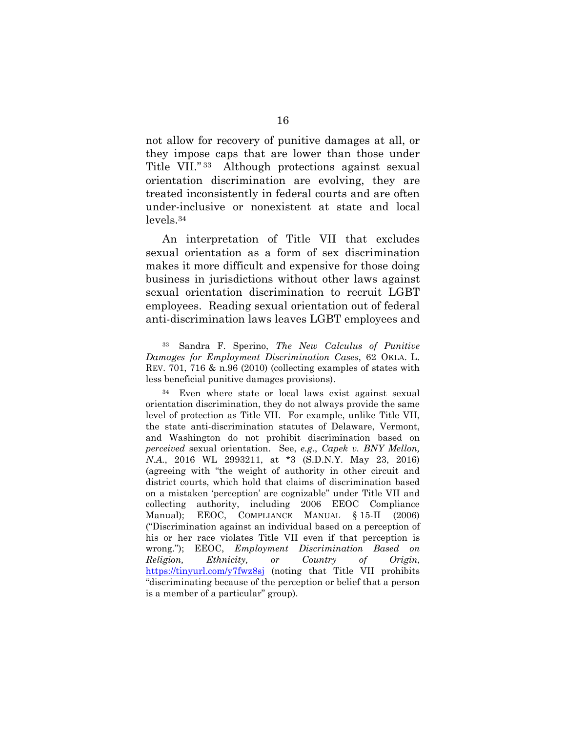not allow for recovery of punitive damages at all, or they impose caps that are lower than those under Title VII." <sup>33</sup> Although protections against sexual orientation discrimination are evolving, they are treated inconsistently in federal courts and are often under-inclusive or nonexistent at state and local levels.<sup>34</sup>

An interpretation of Title VII that excludes sexual orientation as a form of sex discrimination makes it more difficult and expensive for those doing business in jurisdictions without other laws against sexual orientation discrimination to recruit LGBT employees. Reading sexual orientation out of federal anti-discrimination laws leaves LGBT employees and

<sup>33</sup> Sandra F. Sperino, The New Calculus of Punitive Damages for Employment Discrimination Cases, 62 OKLA. L. REV. 701, 716 & n.96 (2010) (collecting examples of states with less beneficial punitive damages provisions).

<sup>34</sup> Even where state or local laws exist against sexual orientation discrimination, they do not always provide the same level of protection as Title VII. For example, unlike Title VII, the state anti-discrimination statutes of Delaware, Vermont, and Washington do not prohibit discrimination based on perceived sexual orientation. See, e.g., Capek v. BNY Mellon, N.A., 2016 WL 2993211, at \*3 (S.D.N.Y. May 23, 2016) (agreeing with "the weight of authority in other circuit and district courts, which hold that claims of discrimination based on a mistaken 'perception' are cognizable" under Title VII and collecting authority, including 2006 EEOC Compliance Manual); EEOC, COMPLIANCE MANUAL § 15-II (2006) ("Discrimination against an individual based on a perception of his or her race violates Title VII even if that perception is wrong."); EEOC, Employment Discrimination Based on Religion, Ethnicity, or Country of Origin, https://tinyurl.com/y7fwz8sj (noting that Title VII prohibits "discriminating because of the perception or belief that a person is a member of a particular" group).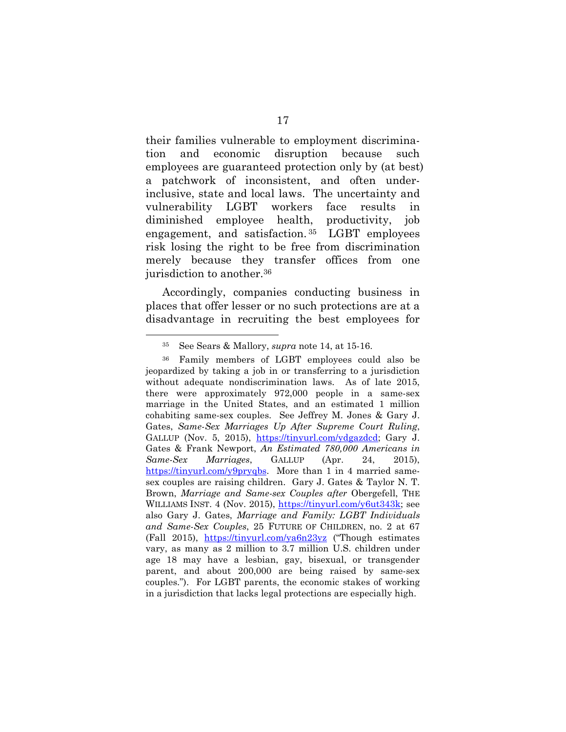their families vulnerable to employment discrimination and economic disruption because such employees are guaranteed protection only by (at best) a patchwork of inconsistent, and often underinclusive, state and local laws. The uncertainty and vulnerability LGBT workers face results in diminished employee health, productivity, job engagement, and satisfaction. <sup>35</sup> LGBT employees risk losing the right to be free from discrimination merely because they transfer offices from one jurisdiction to another.<sup>36</sup>

Accordingly, companies conducting business in places that offer lesser or no such protections are at a disadvantage in recruiting the best employees for

<sup>35</sup> See Sears & Mallory, supra note 14, at 15-16.

<sup>36</sup> Family members of LGBT employees could also be jeopardized by taking a job in or transferring to a jurisdiction without adequate nondiscrimination laws. As of late 2015, there were approximately 972,000 people in a same-sex marriage in the United States, and an estimated 1 million cohabiting same-sex couples. See Jeffrey M. Jones & Gary J. Gates, Same-Sex Marriages Up After Supreme Court Ruling, GALLUP (Nov. 5, 2015), https://tinyurl.com/ydgazdcd; Gary J. Gates & Frank Newport, An Estimated 780,000 Americans in Same-Sex Marriages, GALLUP (Apr. 24, 2015), https://tinyurl.com/y9pryqbs. More than 1 in 4 married samesex couples are raising children. Gary J. Gates & Taylor N. T. Brown, Marriage and Same-sex Couples after Obergefell, THE WILLIAMS INST. 4 (Nov. 2015), https://tinyurl.com/y6ut343k; see also Gary J. Gates, Marriage and Family: LGBT Individuals and Same-Sex Couples, 25 FUTURE OF CHILDREN, no. 2 at 67 (Fall 2015), https://tinyurl.com/ya6n23yz ("Though estimates vary, as many as 2 million to 3.7 million U.S. children under age 18 may have a lesbian, gay, bisexual, or transgender parent, and about 200,000 are being raised by same-sex couples."). For LGBT parents, the economic stakes of working in a jurisdiction that lacks legal protections are especially high.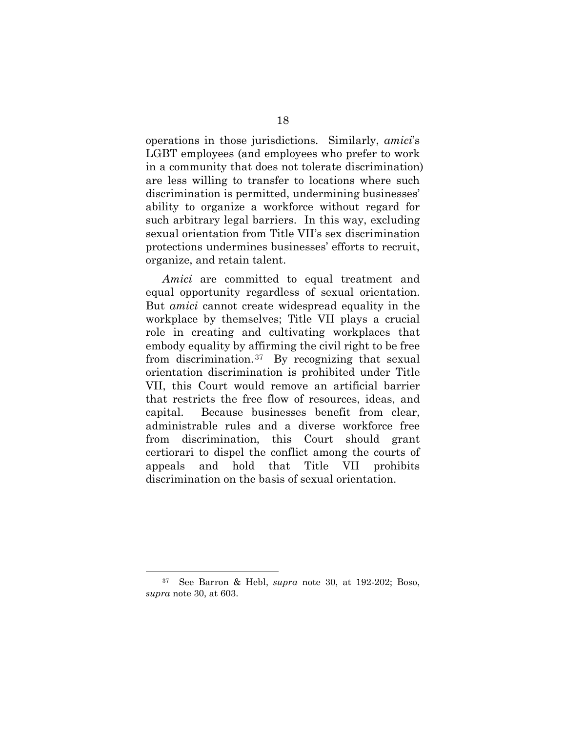operations in those jurisdictions. Similarly, amici's LGBT employees (and employees who prefer to work in a community that does not tolerate discrimination) are less willing to transfer to locations where such discrimination is permitted, undermining businesses' ability to organize a workforce without regard for such arbitrary legal barriers. In this way, excluding sexual orientation from Title VII's sex discrimination protections undermines businesses' efforts to recruit, organize, and retain talent.

Amici are committed to equal treatment and equal opportunity regardless of sexual orientation. But amici cannot create widespread equality in the workplace by themselves; Title VII plays a crucial role in creating and cultivating workplaces that embody equality by affirming the civil right to be free from discrimination.37 By recognizing that sexual orientation discrimination is prohibited under Title VII, this Court would remove an artificial barrier that restricts the free flow of resources, ideas, and capital. Because businesses benefit from clear, administrable rules and a diverse workforce free from discrimination, this Court should grant certiorari to dispel the conflict among the courts of appeals and hold that Title VII prohibits discrimination on the basis of sexual orientation.

<sup>37</sup> See Barron & Hebl, supra note 30, at 192-202; Boso, supra note 30, at 603.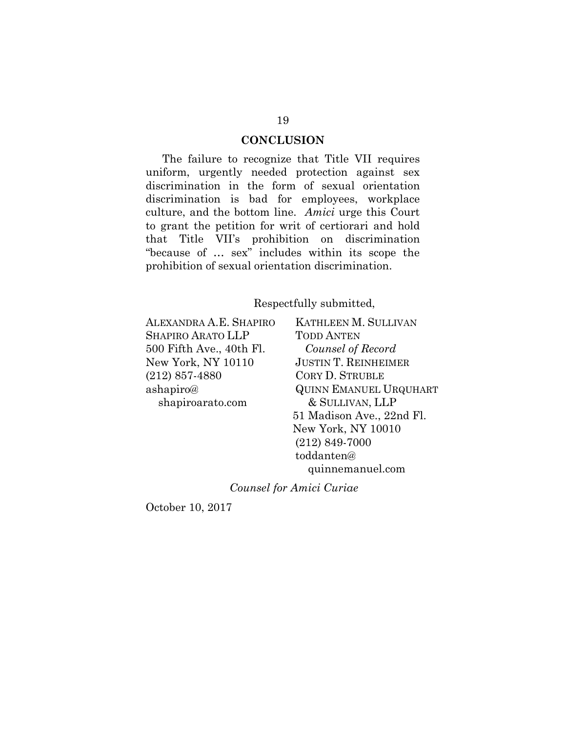#### **CONCLUSION**

The failure to recognize that Title VII requires uniform, urgently needed protection against sex discrimination in the form of sexual orientation discrimination is bad for employees, workplace culture, and the bottom line. Amici urge this Court to grant the petition for writ of certiorari and hold that Title VII's prohibition on discrimination "because of … sex" includes within its scope the prohibition of sexual orientation discrimination.

Respectfully submitted,

ALEXANDRA A.E. SHAPIRO SHAPIRO ARATO LLP 500 Fifth Ave., 40th Fl. New York, NY 10110 (212) 857-4880 ashapiro@ shapiroarato.com

KATHLEEN M. SULLIVAN TODD ANTEN Counsel of Record JUSTIN T. REINHEIMER CORY D. STRUBLE QUINN EMANUEL URQUHART & SULLIVAN, LLP 51 Madison Ave., 22nd Fl. New York, NY 10010 (212) 849-7000 toddanten@ quinnemanuel.com

Counsel for Amici Curiae

October 10, 2017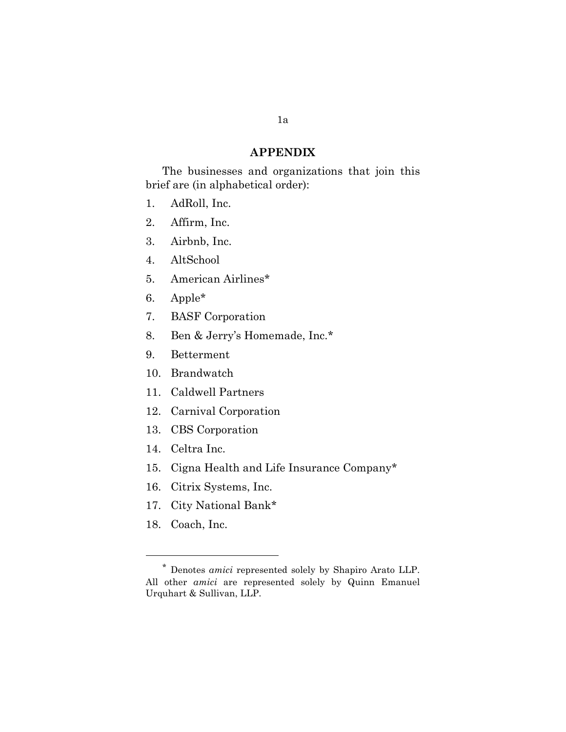#### APPENDIX

The businesses and organizations that join this brief are (in alphabetical order):

- 1. AdRoll, Inc.
- 2. Affirm, Inc.
- 3. Airbnb, Inc.
- 4. AltSchool
- 5. American Airlines\*\*
- 6. Apple\*
- 7. BASF Corporation
- 8. Ben & Jerry's Homemade, Inc.\*
- 9. Betterment
- 10. Brandwatch
- 11. Caldwell Partners
- 12. Carnival Corporation
- 13. CBS Corporation
- 14. Celtra Inc.
- 15. Cigna Health and Life Insurance Company\*
- 16. Citrix Systems, Inc.
- 17. City National Bank\*
- 18. Coach, Inc.

<sup>\*</sup> Denotes amici represented solely by Shapiro Arato LLP. All other *amici* are represented solely by Quinn Emanuel Urquhart & Sullivan, LLP.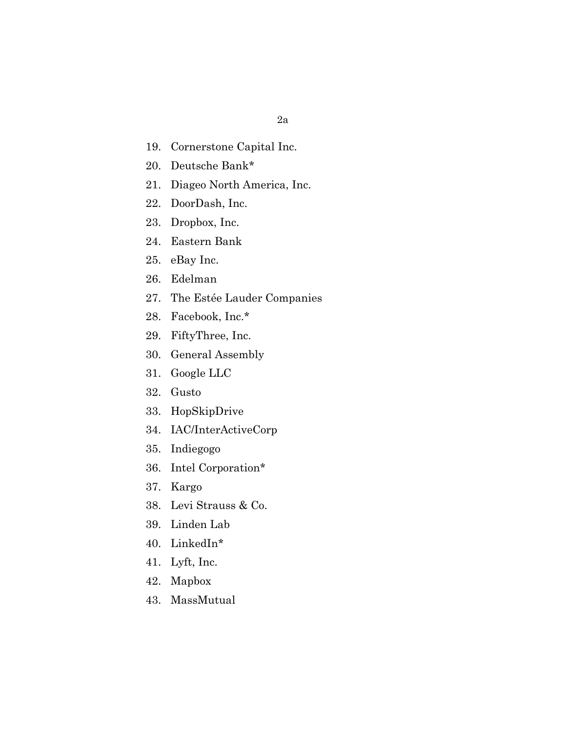- 19. Cornerstone Capital Inc.
- 20. Deutsche Bank\*
- 21. Diageo North America, Inc.
- 22. DoorDash, Inc.
- 23. Dropbox, Inc.
- 24. Eastern Bank
- 25. eBay Inc.
- 26. Edelman
- 27. The Estée Lauder Companies
- 28. Facebook, Inc.\*
- 29. FiftyThree, Inc.
- 30. General Assembly
- 31. Google LLC
- 32. Gusto
- 33. HopSkipDrive
- 34. IAC/InterActiveCorp
- 35. Indiegogo
- 36. Intel Corporation\*
- 37. Kargo
- 38. Levi Strauss & Co.
- 39. Linden Lab
- 40. LinkedIn\*
- 41. Lyft, Inc.
- 42. Mapbox
- 43. MassMutual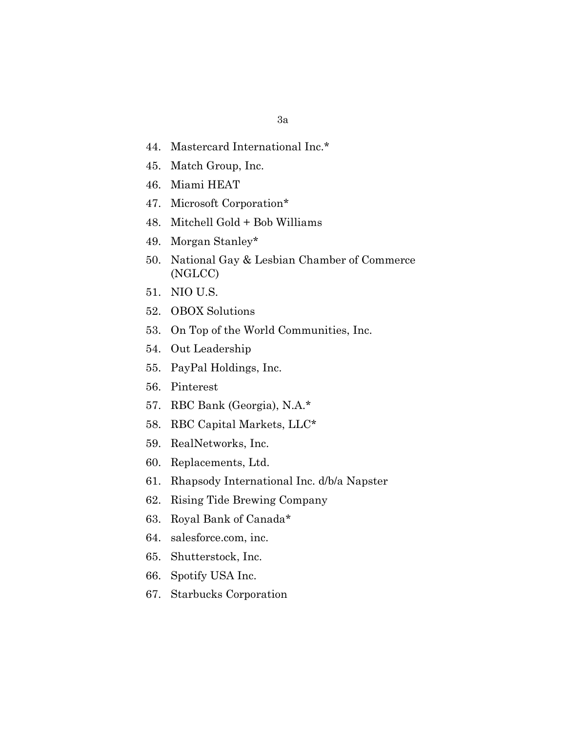- 44. Mastercard International Inc.\*
- 45. Match Group, Inc.
- 46. Miami HEAT
- 47. Microsoft Corporation\*
- 48. Mitchell Gold + Bob Williams
- 49. Morgan Stanley\*
- 50. National Gay & Lesbian Chamber of Commerce (NGLCC)
- 51. NIO U.S.
- 52. OBOX Solutions
- 53. On Top of the World Communities, Inc.
- 54. Out Leadership
- 55. PayPal Holdings, Inc.
- 56. Pinterest
- 57. RBC Bank (Georgia), N.A.\*
- 58. RBC Capital Markets, LLC\*
- 59. RealNetworks, Inc.
- 60. Replacements, Ltd.
- 61. Rhapsody International Inc. d/b/a Napster
- 62. Rising Tide Brewing Company
- 63. Royal Bank of Canada\*
- 64. salesforce.com, inc.
- 65. Shutterstock, Inc.
- 66. Spotify USA Inc.
- 67. Starbucks Corporation